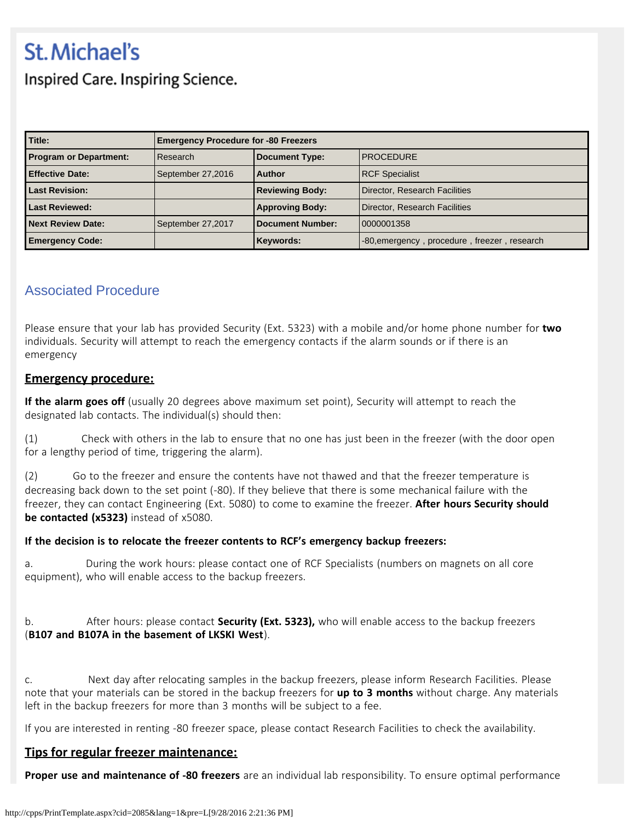# **St. Michael's**

Inspired Care. Inspiring Science.

| Title:                        | <b>Emergency Procedure for -80 Freezers</b> |                         |                                              |
|-------------------------------|---------------------------------------------|-------------------------|----------------------------------------------|
| <b>Program or Department:</b> | Research                                    | <b>Document Type:</b>   | <b>PROCEDURE</b>                             |
| <b>Effective Date:</b>        | September 27,2016                           | <b>Author</b>           | <b>RCF Specialist</b>                        |
| <b>Last Revision:</b>         |                                             | <b>Reviewing Body:</b>  | Director, Research Facilities                |
| <b>Last Reviewed:</b>         |                                             | <b>Approving Body:</b>  | Director, Research Facilities                |
| <b>Next Review Date:</b>      | September 27,2017                           | <b>Document Number:</b> | 0000001358                                   |
| <b>Emergency Code:</b>        |                                             | Keywords:               | -80, emergency, procedure, freezer, research |

## Associated Procedure

Please ensure that your lab has provided Security (Ext. 5323) with a mobile and/or home phone number for **two** individuals. Security will attempt to reach the emergency contacts if the alarm sounds or if there is an emergency

### **Emergency procedure:**

**If the alarm goes off** (usually 20 degrees above maximum set point), Security will attempt to reach the designated lab contacts. The individual(s) should then:

(1) Check with others in the lab to ensure that no one has just been in the freezer (with the door open for a lengthy period of time, triggering the alarm).

(2) Go to the freezer and ensure the contents have not thawed and that the freezer temperature is decreasing back down to the set point (-80). If they believe that there is some mechanical failure with the freezer, they can contact Engineering (Ext. 5080) to come to examine the freezer. **After hours Security should be contacted (x5323)** instead of x5080.

#### **If the decision is to relocate the freezer contents to RCF's emergency backup freezers:**

a. During the work hours: please contact one of RCF Specialists (numbers on magnets on all core equipment), who will enable access to the backup freezers.

b. After hours: please contact **Security (Ext. 5323),** who will enable access to the backup freezers (**B107 and B107A in the basement of LKSKI West**).

c. Next day after relocating samples in the backup freezers, please inform Research Facilities. Please note that your materials can be stored in the backup freezers for **up to 3 months** without charge. Any materials left in the backup freezers for more than 3 months will be subject to a fee.

If you are interested in renting -80 freezer space, please contact Research Facilities to check the availability.

### **Tips for regular freezer maintenance:**

**Proper use and maintenance of -80 freezers** are an individual lab responsibility. To ensure optimal performance